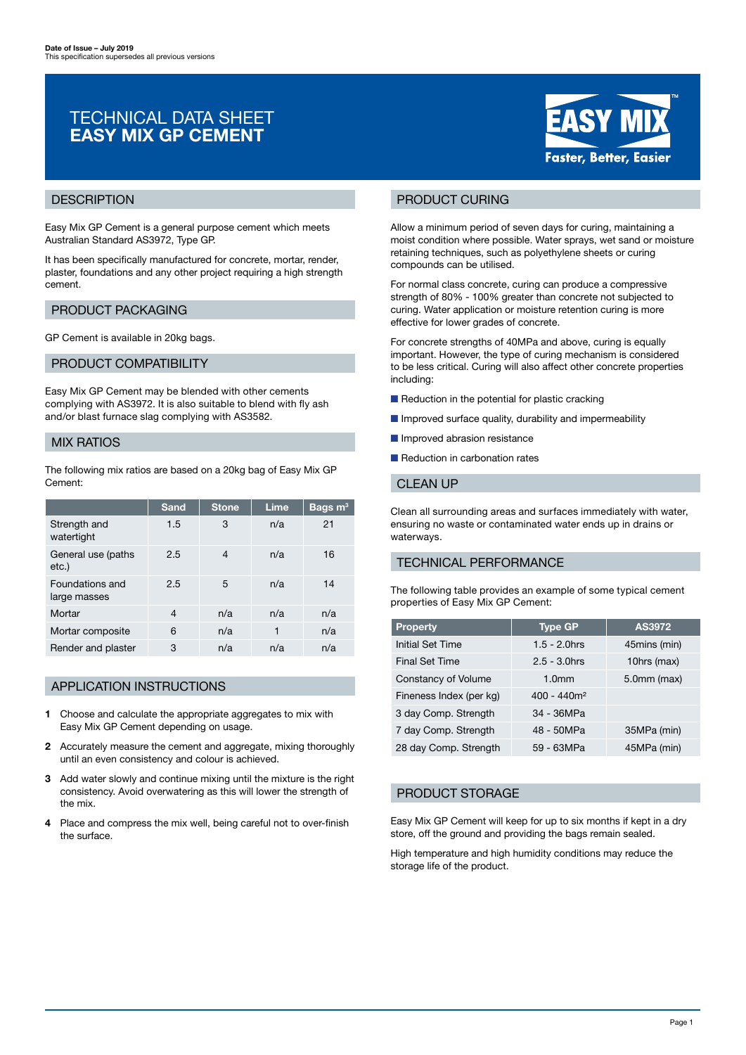# TECHNICAL DATA SHEET EASY MIX GP CEMENT



Easy Mix GP Cement is a general purpose cement which meets Australian Standard AS3972, Type GP.

It has been specifically manufactured for concrete, mortar, render, plaster, foundations and any other project requiring a high strength cement.

## PRODUCT PACKAGING

GP Cement is available in 20kg bags.

#### PRODUCT COMPATIBILITY

Easy Mix GP Cement may be blended with other cements complying with AS3972. It is also suitable to blend with fly ash and/or blast furnace slag complying with AS3582.

## MIX RATIOS

The following mix ratios are based on a 20kg bag of Easy Mix GP Cement:

|                                 | Sand | <b>Stone</b> | Lime | Bags $m3$ |
|---------------------------------|------|--------------|------|-----------|
| Strength and<br>watertight      | 1.5  | 3            | n/a  | 21        |
| General use (paths<br>etc.)     | 2.5  | 4            | n/a  | 16        |
| Foundations and<br>large masses | 2.5  | 5            | n/a  | 14        |
| Mortar                          | 4    | n/a          | n/a  | n/a       |
| Mortar composite                | 6    | n/a          | 1    | n/a       |
| Render and plaster              | 3    | n/a          | n/a  | n/a       |

### APPLICATION INSTRUCTIONS

- 1 Choose and calculate the appropriate aggregates to mix with Easy Mix GP Cement depending on usage.
- 2 Accurately measure the cement and aggregate, mixing thoroughly until an even consistency and colour is achieved.
- 3 Add water slowly and continue mixing until the mixture is the right consistency. Avoid overwatering as this will lower the strength of the mix.
- 4 Place and compress the mix well, being careful not to over-finish the surface.



## PRODUCT CURING

Allow a minimum period of seven days for curing, maintaining a moist condition where possible. Water sprays, wet sand or moisture retaining techniques, such as polyethylene sheets or curing compounds can be utilised.

For normal class concrete, curing can produce a compressive strength of 80% - 100% greater than concrete not subjected to curing. Water application or moisture retention curing is more effective for lower grades of concrete.

For concrete strengths of 40MPa and above, curing is equally important. However, the type of curing mechanism is considered to be less critical. Curing will also affect other concrete properties including:

- Reduction in the potential for plastic cracking
- Improved surface quality, durability and impermeability
- Improved abrasion resistance
- Reduction in carbonation rates

#### CLEAN UP

Clean all surrounding areas and surfaces immediately with water, ensuring no waste or contaminated water ends up in drains or waterways.

## TECHNICAL PERFORMANCE

The following table provides an example of some typical cement properties of Easy Mix GP Cement:

| <b>Property</b>         | <b>Type GP</b>    | AS3972           |
|-------------------------|-------------------|------------------|
| Initial Set Time        | $1.5 - 2.0$ hrs   | 45mins (min)     |
| <b>Final Set Time</b>   | $2.5 - 3.0$ hrs   | 10hrs (max)      |
| Constancy of Volume     | 1.0 <sub>mm</sub> | $5.0$ mm $(max)$ |
| Fineness Index (per kg) | $400 - 440m^2$    |                  |
| 3 day Comp. Strength    | 34 - 36MPa        |                  |
| 7 day Comp. Strength    | 48 - 50MPa        | 35MPa (min)      |
| 28 day Comp. Strength   | 59 - 63MPa        | 45MPa (min)      |

## PRODUCT STORAGE

Easy Mix GP Cement will keep for up to six months if kept in a dry store, off the ground and providing the bags remain sealed.

High temperature and high humidity conditions may reduce the storage life of the product.